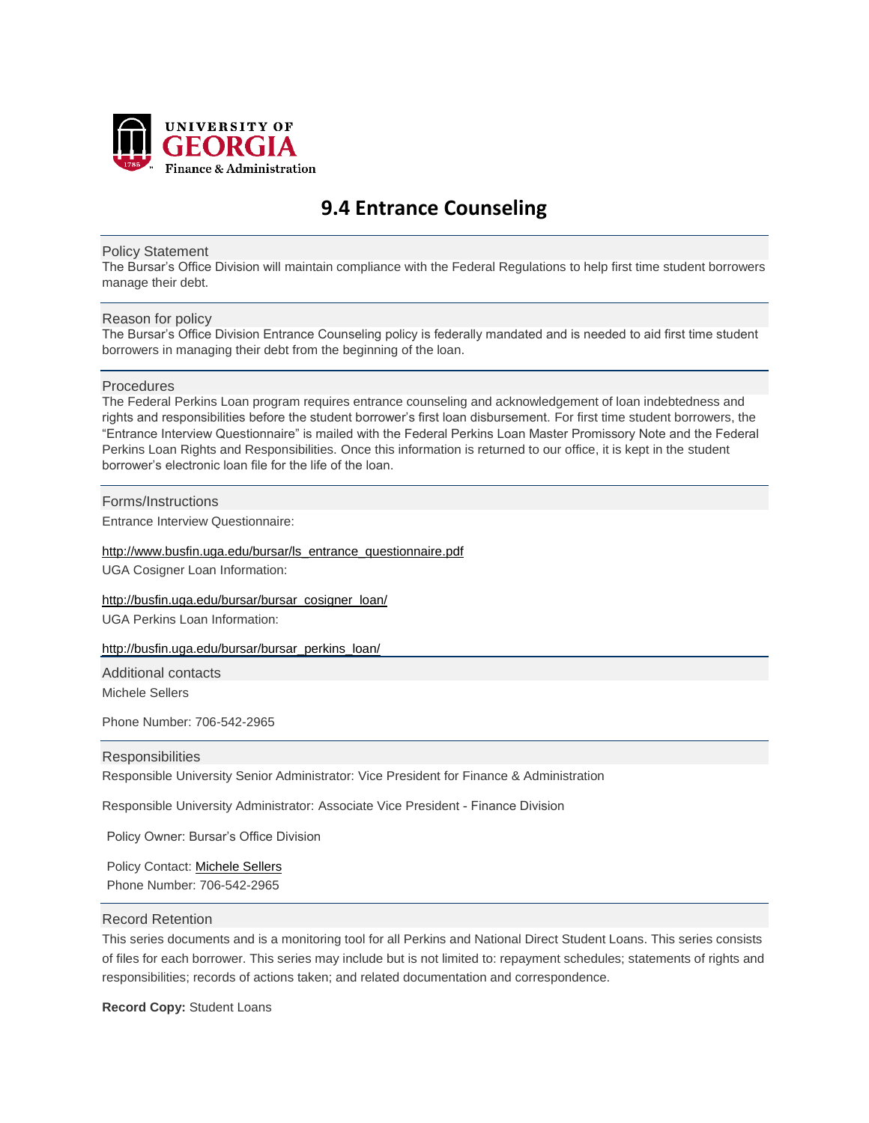

# **9.4 Entrance Counseling**

## Policy Statement

The Bursar's Office Division will maintain compliance with the Federal Regulations to help first time student borrowers manage their debt.

# Reason for policy

The Bursar's Office Division Entrance Counseling policy is federally mandated and is needed to aid first time student borrowers in managing their debt from the beginning of the loan.

### Procedures

The Federal Perkins Loan program requires entrance counseling and acknowledgement of loan indebtedness and rights and responsibilities before the student borrower's first loan disbursement. For first time student borrowers, the "Entrance Interview Questionnaire" is mailed with the Federal Perkins Loan Master Promissory Note and the Federal Perkins Loan Rights and Responsibilities. Once this information is returned to our office, it is kept in the student borrower's electronic loan file for the life of the loan.

# Forms/Instructions

Entrance Interview Questionnaire:

### [http://www.busfin.uga.edu/bursar/ls\\_entrance\\_questionnaire.pdf](http://www.busfin.uga.edu/bursar/ls_entrance_questionnaire.pdf)

UGA Cosigner Loan Information:

[http://busfin.uga.edu/bursar/bursar\\_cosigner\\_loan/](http://busfin.uga.edu/bursar/bursar_cosigner_loan/) UGA Perkins Loan Information:

[http://busfin.uga.edu/bursar/bursar\\_perkins\\_loan/](http://busfin.uga.edu/bursar/bursar_perkins_loan/)

Additional contacts

Michele Sellers

Phone Number: 706-542-2965

# **Responsibilities**

Responsible University Senior Administrator: Vice President for Finance & Administration

Responsible University Administrator: Associate Vice President - Finance Division

Policy Owner: Bursar's Office Division

Policy Contact: Mich[ele Sellers](mailto:amsell@uga.edu)  Phone Number: 706-542-2965

## Record Retention

This series documents and is a monitoring tool for all Perkins and National Direct Student Loans. This series consists of files for each borrower. This series may include but is not limited to: repayment schedules; statements of rights and responsibilities; records of actions taken; and related documentation and correspondence.

**Record Copy:** Student Loans